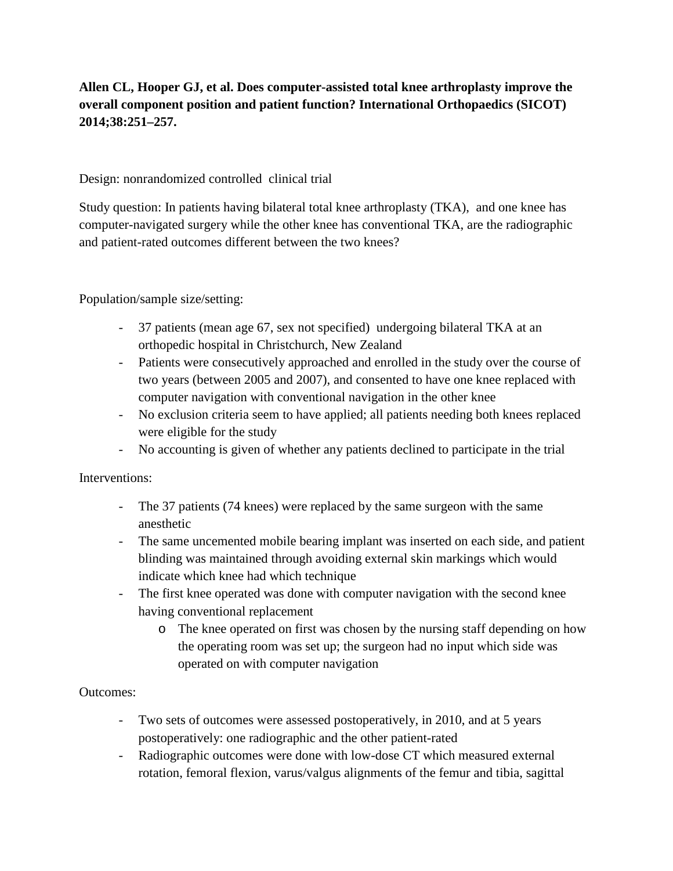## **Allen CL, Hooper GJ, et al. Does computer-assisted total knee arthroplasty improve the overall component position and patient function? International Orthopaedics (SICOT) 2014;38:251–257.**

Design: nonrandomized controlled clinical trial

Study question: In patients having bilateral total knee arthroplasty (TKA), and one knee has computer-navigated surgery while the other knee has conventional TKA, are the radiographic and patient-rated outcomes different between the two knees?

### Population/sample size/setting:

- 37 patients (mean age 67, sex not specified) undergoing bilateral TKA at an orthopedic hospital in Christchurch, New Zealand
- Patients were consecutively approached and enrolled in the study over the course of two years (between 2005 and 2007), and consented to have one knee replaced with computer navigation with conventional navigation in the other knee
- No exclusion criteria seem to have applied; all patients needing both knees replaced were eligible for the study
- No accounting is given of whether any patients declined to participate in the trial

#### Interventions:

- The 37 patients (74 knees) were replaced by the same surgeon with the same anesthetic
- The same uncemented mobile bearing implant was inserted on each side, and patient blinding was maintained through avoiding external skin markings which would indicate which knee had which technique
- The first knee operated was done with computer navigation with the second knee having conventional replacement
	- o The knee operated on first was chosen by the nursing staff depending on how the operating room was set up; the surgeon had no input which side was operated on with computer navigation

#### Outcomes:

- Two sets of outcomes were assessed postoperatively, in 2010, and at 5 years postoperatively: one radiographic and the other patient-rated
- Radiographic outcomes were done with low-dose CT which measured external rotation, femoral flexion, varus/valgus alignments of the femur and tibia, sagittal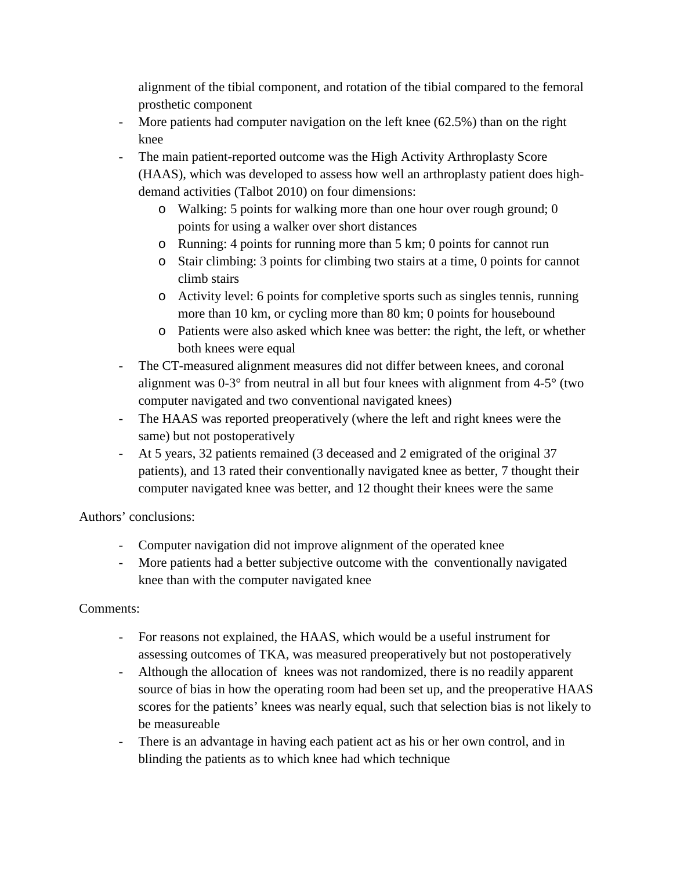alignment of the tibial component, and rotation of the tibial compared to the femoral prosthetic component

- More patients had computer navigation on the left knee (62.5%) than on the right knee
- The main patient-reported outcome was the High Activity Arthroplasty Score (HAAS), which was developed to assess how well an arthroplasty patient does highdemand activities (Talbot 2010) on four dimensions:
	- o Walking: 5 points for walking more than one hour over rough ground; 0 points for using a walker over short distances
	- o Running: 4 points for running more than 5 km; 0 points for cannot run
	- o Stair climbing: 3 points for climbing two stairs at a time, 0 points for cannot climb stairs
	- o Activity level: 6 points for completive sports such as singles tennis, running more than 10 km, or cycling more than 80 km; 0 points for housebound
	- o Patients were also asked which knee was better: the right, the left, or whether both knees were equal
- The CT-measured alignment measures did not differ between knees, and coronal alignment was 0-3° from neutral in all but four knees with alignment from 4-5° (two computer navigated and two conventional navigated knees)
- The HAAS was reported preoperatively (where the left and right knees were the same) but not postoperatively
- At 5 years, 32 patients remained (3 deceased and 2 emigrated of the original 37 patients), and 13 rated their conventionally navigated knee as better, 7 thought their computer navigated knee was better, and 12 thought their knees were the same

Authors' conclusions:

- Computer navigation did not improve alignment of the operated knee
- More patients had a better subjective outcome with the conventionally navigated knee than with the computer navigated knee

# Comments:

- For reasons not explained, the HAAS, which would be a useful instrument for assessing outcomes of TKA, was measured preoperatively but not postoperatively
- Although the allocation of knees was not randomized, there is no readily apparent source of bias in how the operating room had been set up, and the preoperative HAAS scores for the patients' knees was nearly equal, such that selection bias is not likely to be measureable
- There is an advantage in having each patient act as his or her own control, and in blinding the patients as to which knee had which technique